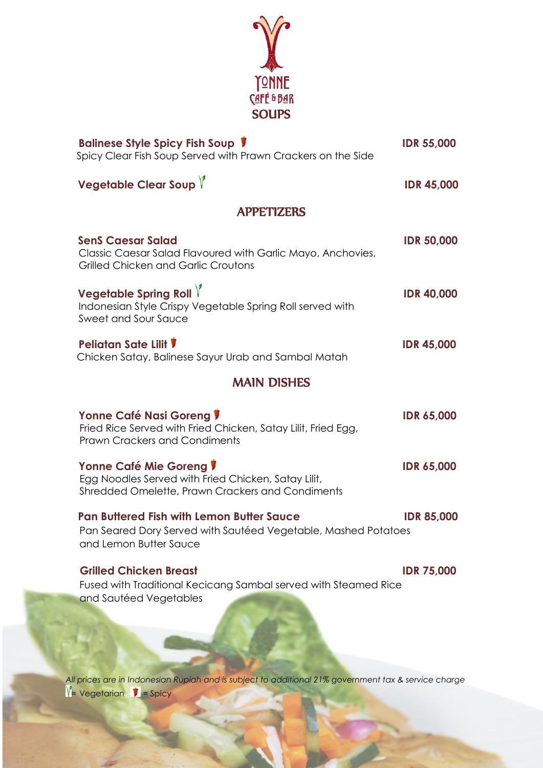

*All prices are in Indonesian Rupiah and is subject to additional 21% government tax & service charge*  $V = Vegetarian$  = Spicy

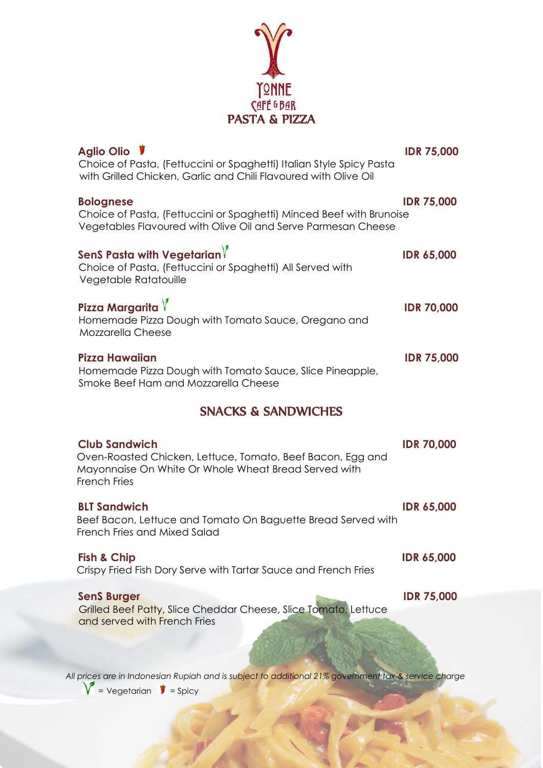

| Aglio Olio V<br>Choice of Pasta, (Fettuccini or Spaghetti) Italian Style Spicy Pasta<br>with Grilled Chicken, Garlic and Chili Flavoured with Olive Oil   | <b>IDR 75,000</b> |
|-----------------------------------------------------------------------------------------------------------------------------------------------------------|-------------------|
| <b>Bolognese</b><br>Choice of Pasta, (Fettuccini or Spaghetti) Minced Beef with Brunoise<br>Vegetables Flavoured with Olive Oil and Serve Parmesan Cheese | <b>IDR 75,000</b> |
| SenS Pasta with Vegetarian $\forall$<br>Choice of Pasta, (Fettuccini or Spaghetti) All Served with<br>Vegetable Ratatouille                               | <b>IDR 65,000</b> |
| Pizza Margarita $\sqrt{ }$<br>Homemade Pizza Dough with Tomato Sauce, Oregano and<br>Mozzarella Cheese                                                    | <b>IDR 70,000</b> |
| Pizza Hawaiian<br>Homemade Pizza Dough with Tomato Sauce, Slice Pineapple,<br>Smoke Beef Ham and Mozzarella Cheese                                        | <b>IDR 75,000</b> |
| <b>SNACKS &amp; SANDWICHES</b>                                                                                                                            |                   |
| <b>Club Sandwich</b>                                                                                                                                      |                   |
| Oven-Roasted Chicken, Lettuce, Tomato, Beef Bacon, Egg and<br>Mayonnaise On White Or Whole Wheat Bread Served with<br><b>French Fries</b>                 | <b>IDR 70,000</b> |
| <b>BLT Sandwich</b><br>Beef Bacon, Lettuce and Tomato On Baguette Bread Served with<br>French Fries and Mixed Salad                                       | <b>IDR 65,000</b> |
| <b>Fish &amp; Chip</b><br>Crispy Fried Fish Dory Serve with Tartar Sauce and French Fries                                                                 | <b>IDR 65,000</b> |
| <b>SenS Burger</b><br>Grilled Beef Patty, Slice Cheddar Cheese, Slice Tomato, Lettuce<br>and served with French Fries                                     | <b>IDR 75,000</b> |
|                                                                                                                                                           |                   |